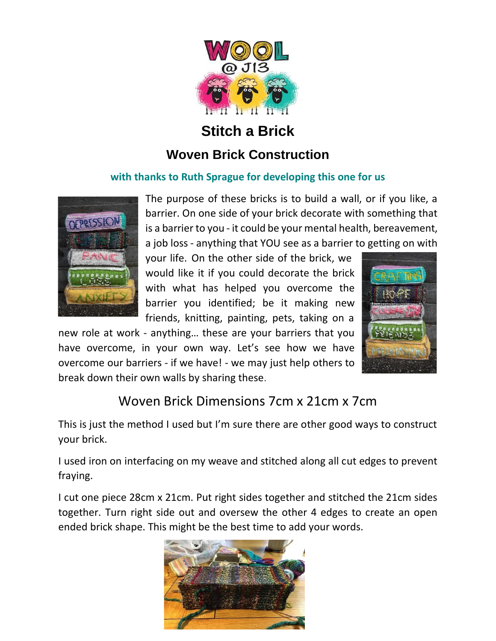

## **Stitch a Brick**

## **Woven Brick Construction**

#### **with thanks to Ruth Sprague for developing this one for us**



The purpose of these bricks is to build a wall, or if you like, a barrier. On one side of your brick decorate with something that is a barrier to you - it could be your mental health, bereavement, a job loss - anything that YOU see as a barrier to getting on with

your life. On the other side of the brick, we would like it if you could decorate the brick with what has helped you overcome the barrier you identified; be it making new friends, knitting, painting, pets, taking on a

new role at work - anything… these are your barriers that you have overcome, in your own way. Let's see how we have overcome our barriers - if we have! - we may just help others to break down their own walls by sharing these.



# Woven Brick Dimensions 7cm x 21cm x 7cm

This is just the method I used but I'm sure there are other good ways to construct your brick.

I used iron on interfacing on my weave and stitched along all cut edges to prevent fraying.

I cut one piece 28cm x 21cm. Put right sides together and stitched the 21cm sides together. Turn right side out and oversew the other 4 edges to create an open ended brick shape. This might be the best time to add your words.